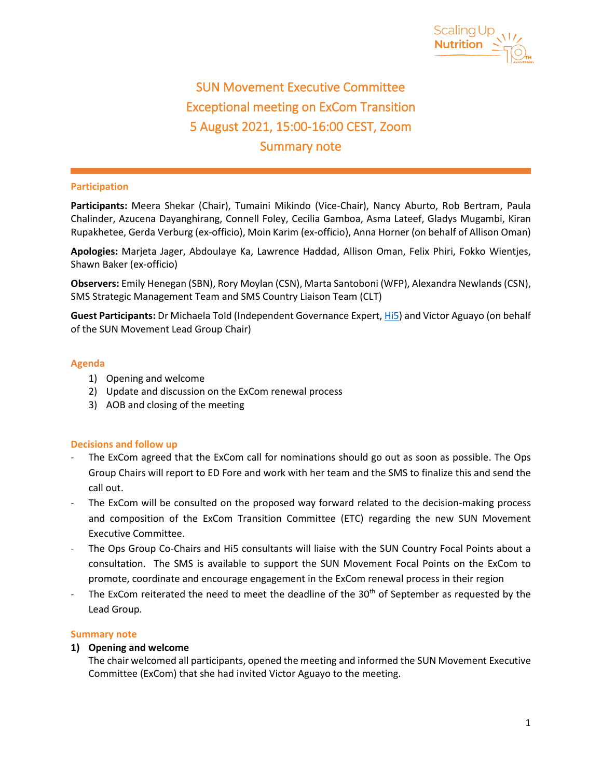

 $\overline{a}$ 

# SUN Movement Executive Committee Exceptional meeting on ExCom Transition 5 August 2021, 15:00-16:00 CEST, Zoom Summary note

## **Participation**

**Participants:** Meera Shekar (Chair), Tumaini Mikindo (Vice-Chair), Nancy Aburto, Rob Bertram, Paula Chalinder, Azucena Dayanghirang, Connell Foley, Cecilia Gamboa, Asma Lateef, Gladys Mugambi, Kiran Rupakhetee, Gerda Verburg (ex-officio), Moin Karim (ex-officio), Anna Horner (on behalf of Allison Oman)

**Apologies:** Marjeta Jager, Abdoulaye Ka, Lawrence Haddad, Allison Oman, Felix Phiri, Fokko Wientjes, Shawn Baker (ex-officio)

**Observers:** Emily Henegan (SBN), Rory Moylan (CSN), Marta Santoboni (WFP), Alexandra Newlands (CSN), SMS Strategic Management Team and SMS Country Liaison Team (CLT)

**Guest Participants:** Dr Michaela Told (Independent Governance Expert, [Hi5\)](https://humanimpact5.ch/hi5-people/) and Victor Aguayo (on behalf of the SUN Movement Lead Group Chair)

#### **Agenda**

- 1) Opening and welcome
- 2) Update and discussion on the ExCom renewal process
- 3) AOB and closing of the meeting

#### **Decisions and follow up**

- The ExCom agreed that the ExCom call for nominations should go out as soon as possible. The Ops Group Chairs will report to ED Fore and work with her team and the SMS to finalize this and send the call out.
- The ExCom will be consulted on the proposed way forward related to the decision-making process and composition of the ExCom Transition Committee (ETC) regarding the new SUN Movement Executive Committee.
- The Ops Group Co-Chairs and Hi5 consultants will liaise with the SUN Country Focal Points about a consultation. The SMS is available to support the SUN Movement Focal Points on the ExCom to promote, coordinate and encourage engagement in the ExCom renewal process in their region
- The ExCom reiterated the need to meet the deadline of the 30<sup>th</sup> of September as requested by the Lead Group.

#### **Summary note**

# **1) Opening and welcome**

The chair welcomed all participants, opened the meeting and informed the SUN Movement Executive Committee (ExCom) that she had invited Victor Aguayo to the meeting.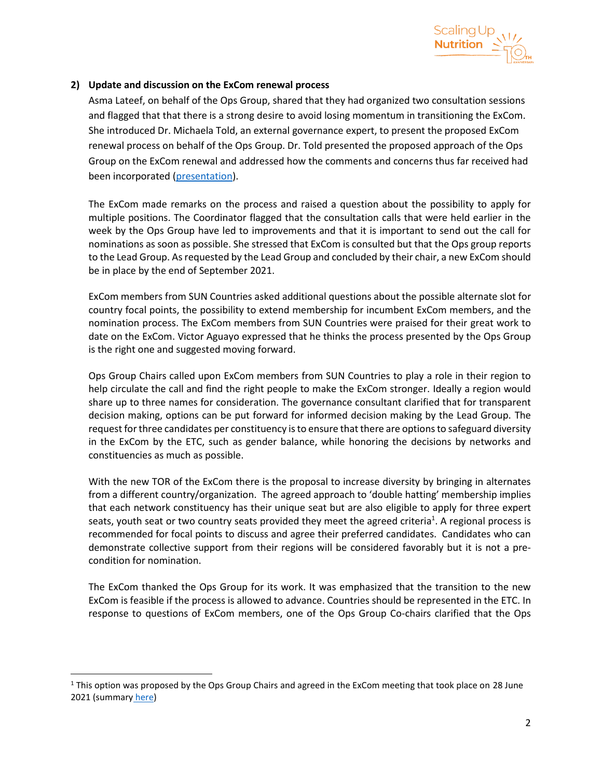

# **2) Update and discussion on the ExCom renewal process**

Asma Lateef, on behalf of the Ops Group, shared that they had organized two consultation sessions and flagged that that there is a strong desire to avoid losing momentum in transitioning the ExCom. She introduced Dr. Michaela Told, an external governance expert, to present the proposed ExCom renewal process on behalf of the Ops Group. Dr. Told presented the proposed approach of the Ops Group on the ExCom renewal and addressed how the comments and concerns thus far received had been incorporated [\(presentation\)](https://scalingupnutrition.sharepoint.com/:b:/s/public55/EW2YIpk6jy9DqJ1iYeqL8ewB59WfhVEv1RwFhgFN_jR6vg?e=NICadN).

The ExCom made remarks on the process and raised a question about the possibility to apply for multiple positions. The Coordinator flagged that the consultation calls that were held earlier in the week by the Ops Group have led to improvements and that it is important to send out the call for nominations as soon as possible. She stressed that ExCom is consulted but that the Ops group reports to the Lead Group. As requested by the Lead Group and concluded by their chair, a new ExCom should be in place by the end of September 2021.

ExCom members from SUN Countries asked additional questions about the possible alternate slot for country focal points, the possibility to extend membership for incumbent ExCom members, and the nomination process. The ExCom members from SUN Countries were praised for their great work to date on the ExCom. Victor Aguayo expressed that he thinks the process presented by the Ops Group is the right one and suggested moving forward.

Ops Group Chairs called upon ExCom members from SUN Countries to play a role in their region to help circulate the call and find the right people to make the ExCom stronger. Ideally a region would share up to three names for consideration. The governance consultant clarified that for transparent decision making, options can be put forward for informed decision making by the Lead Group. The request for three candidates per constituency is to ensure that there are options to safeguard diversity in the ExCom by the ETC, such as gender balance, while honoring the decisions by networks and constituencies as much as possible.

With the new TOR of the ExCom there is the proposal to increase diversity by bringing in alternates from a different country/organization. The agreed approach to 'double hatting' membership implies that each network constituency has their unique seat but are also eligible to apply for three expert seats, youth seat or two country seats provided they meet the agreed criteria<sup>1</sup>. A regional process is recommended for focal points to discuss and agree their preferred candidates. Candidates who can demonstrate collective support from their regions will be considered favorably but it is not a precondition for nomination.

The ExCom thanked the Ops Group for its work. It was emphasized that the transition to the new ExCom is feasible if the process is allowed to advance. Countries should be represented in the ETC. In response to questions of ExCom members, one of the Ops Group Co-chairs clarified that the Ops

<sup>&</sup>lt;sup>1</sup> This option was proposed by the Ops Group Chairs and agreed in the ExCom meeting that took place on 28 June 2021 (summary [here\)](https://scalingupnutrition.org/wp-content/uploads/2021/07/SUN-ExCom-Call-28-June-2021_Summary_Final.pdf)